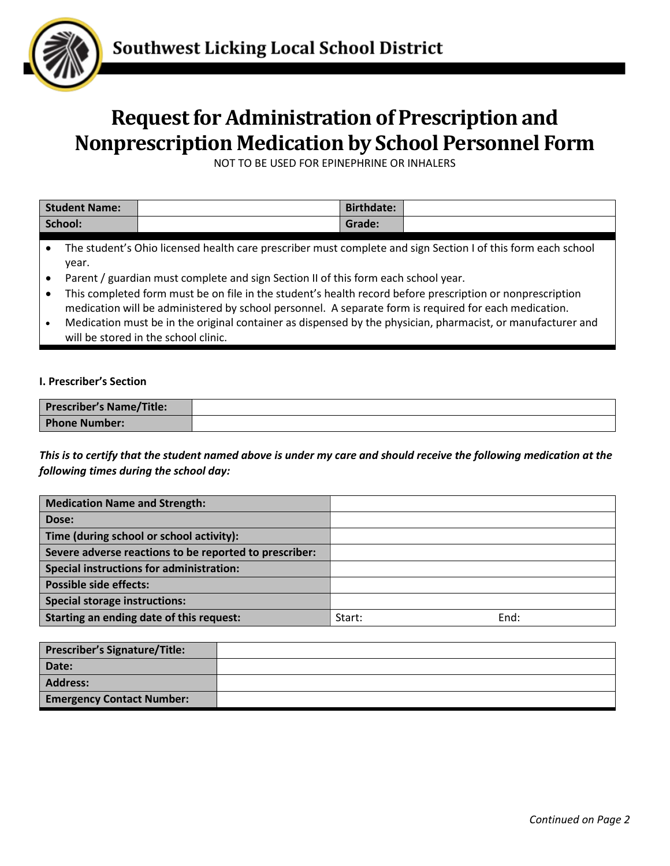

## **Request for Administration of Prescription and Nonprescription Medication by School Personnel Form**

NOT TO BE USED FOR EPINEPHRINE OR INHALERS

| <b>Student Name:</b> | <b>Birthdate:</b> |  |
|----------------------|-------------------|--|
| School:              | Grade:            |  |

- The student's Ohio licensed health care prescriber must complete and sign Section I of this form each school year.
- Parent / guardian must complete and sign Section II of this form each school year.
- This completed form must be on file in the student's health record before prescription or nonprescription medication will be administered by school personnel. A separate form is required for each medication.
- Medication must be in the original container as dispensed by the physician, pharmacist, or manufacturer and will be stored in the school clinic.

## **I. Prescriber's Section**

| <b>Prescriber's Name/Title:</b> |  |
|---------------------------------|--|
| <b>Phone Number:</b>            |  |

*This is to certify that the student named above is under my care and should receive the following medication at the following times during the school day:*

| <b>Medication Name and Strength:</b>                   |        |      |
|--------------------------------------------------------|--------|------|
| Dose:                                                  |        |      |
| Time (during school or school activity):               |        |      |
| Severe adverse reactions to be reported to prescriber: |        |      |
| <b>Special instructions for administration:</b>        |        |      |
| <b>Possible side effects:</b>                          |        |      |
| <b>Special storage instructions:</b>                   |        |      |
| Starting an ending date of this request:               | Start: | End: |

| Prescriber's Signature/Title:    |  |
|----------------------------------|--|
| Date:                            |  |
| Address:                         |  |
| <b>Emergency Contact Number:</b> |  |